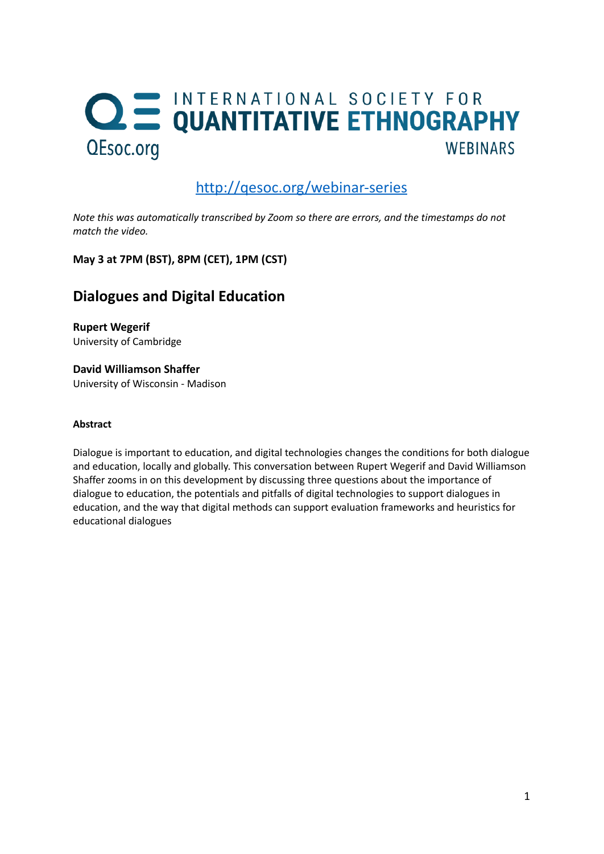## **QE INTERNATIONAL SOCIETY FOR<br>QUANTITATIVE ETHNOGRAPHY** QEsoc.org **WEBINARS**

## <http://qesoc.org/webinar-series>

*Note this was automatically transcribed by Zoom so there are errors, and the timestamps do not match the video.*

**May 3 at 7PM (BST), 8PM (CET), 1PM (CST)**

## **Dialogues and Digital Education**

**Rupert Wegerif** University of Cambridge

**David Williamson Shaffer** University of Wisconsin - Madison

## **Abstract**

Dialogue is important to education, and digital technologies changes the conditions for both dialogue and education, locally and globally. This conversation between Rupert Wegerif and David Williamson Shaffer zooms in on this development by discussing three questions about the importance of dialogue to education, the potentials and pitfalls of digital technologies to support dialogues in education, and the way that digital methods can support evaluation frameworks and heuristics for educational dialogues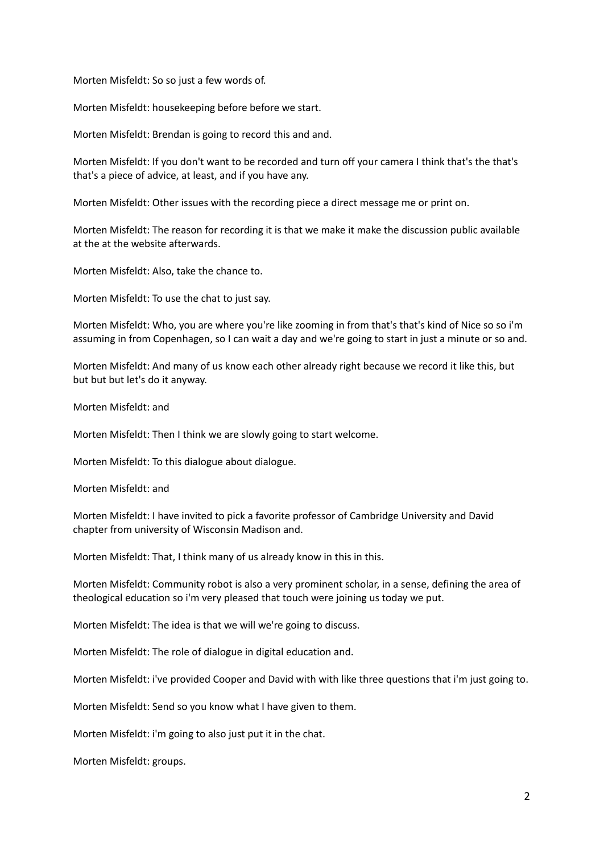Morten Misfeldt: So so just a few words of.

Morten Misfeldt: housekeeping before before we start.

Morten Misfeldt: Brendan is going to record this and and.

Morten Misfeldt: If you don't want to be recorded and turn off your camera I think that's the that's that's a piece of advice, at least, and if you have any.

Morten Misfeldt: Other issues with the recording piece a direct message me or print on.

Morten Misfeldt: The reason for recording it is that we make it make the discussion public available at the at the website afterwards.

Morten Misfeldt: Also, take the chance to.

Morten Misfeldt: To use the chat to just say.

Morten Misfeldt: Who, you are where you're like zooming in from that's that's kind of Nice so so i'm assuming in from Copenhagen, so I can wait a day and we're going to start in just a minute or so and.

Morten Misfeldt: And many of us know each other already right because we record it like this, but but but but let's do it anyway.

Morten Misfeldt: and

Morten Misfeldt: Then I think we are slowly going to start welcome.

Morten Misfeldt: To this dialogue about dialogue.

Morten Misfeldt: and

Morten Misfeldt: I have invited to pick a favorite professor of Cambridge University and David chapter from university of Wisconsin Madison and.

Morten Misfeldt: That, I think many of us already know in this in this.

Morten Misfeldt: Community robot is also a very prominent scholar, in a sense, defining the area of theological education so i'm very pleased that touch were joining us today we put.

Morten Misfeldt: The idea is that we will we're going to discuss.

Morten Misfeldt: The role of dialogue in digital education and.

Morten Misfeldt: i've provided Cooper and David with with like three questions that i'm just going to.

Morten Misfeldt: Send so you know what I have given to them.

Morten Misfeldt: i'm going to also just put it in the chat.

Morten Misfeldt: groups.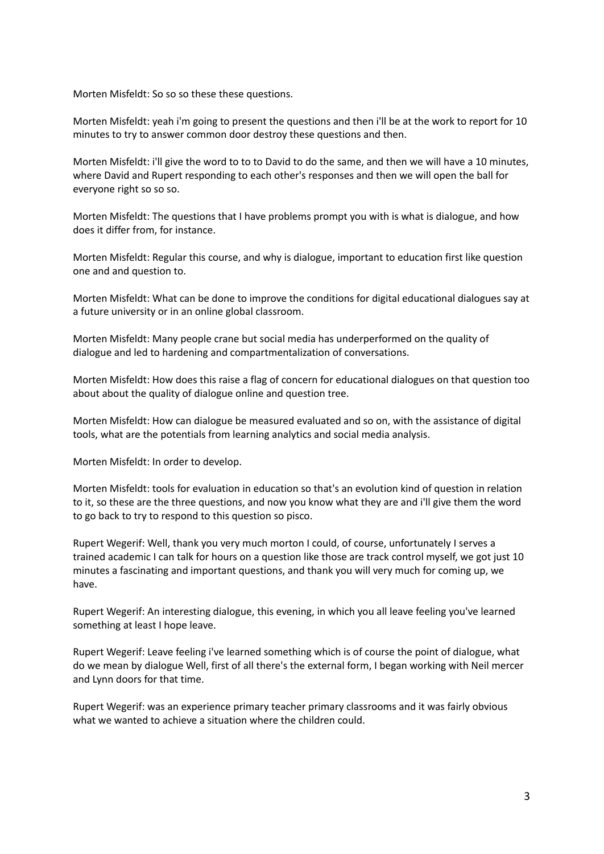Morten Misfeldt: So so so these these questions.

Morten Misfeldt: yeah i'm going to present the questions and then i'll be at the work to report for 10 minutes to try to answer common door destroy these questions and then.

Morten Misfeldt: i'll give the word to to to David to do the same, and then we will have a 10 minutes, where David and Rupert responding to each other's responses and then we will open the ball for everyone right so so so.

Morten Misfeldt: The questions that I have problems prompt you with is what is dialogue, and how does it differ from, for instance.

Morten Misfeldt: Regular this course, and why is dialogue, important to education first like question one and and question to.

Morten Misfeldt: What can be done to improve the conditions for digital educational dialogues say at a future university or in an online global classroom.

Morten Misfeldt: Many people crane but social media has underperformed on the quality of dialogue and led to hardening and compartmentalization of conversations.

Morten Misfeldt: How does this raise a flag of concern for educational dialogues on that question too about about the quality of dialogue online and question tree.

Morten Misfeldt: How can dialogue be measured evaluated and so on, with the assistance of digital tools, what are the potentials from learning analytics and social media analysis.

Morten Misfeldt: In order to develop.

Morten Misfeldt: tools for evaluation in education so that's an evolution kind of question in relation to it, so these are the three questions, and now you know what they are and i'll give them the word to go back to try to respond to this question so pisco.

Rupert Wegerif: Well, thank you very much morton I could, of course, unfortunately I serves a trained academic I can talk for hours on a question like those are track control myself, we got just 10 minutes a fascinating and important questions, and thank you will very much for coming up, we have.

Rupert Wegerif: An interesting dialogue, this evening, in which you all leave feeling you've learned something at least I hope leave.

Rupert Wegerif: Leave feeling i've learned something which is of course the point of dialogue, what do we mean by dialogue Well, first of all there's the external form, I began working with Neil mercer and Lynn doors for that time.

Rupert Wegerif: was an experience primary teacher primary classrooms and it was fairly obvious what we wanted to achieve a situation where the children could.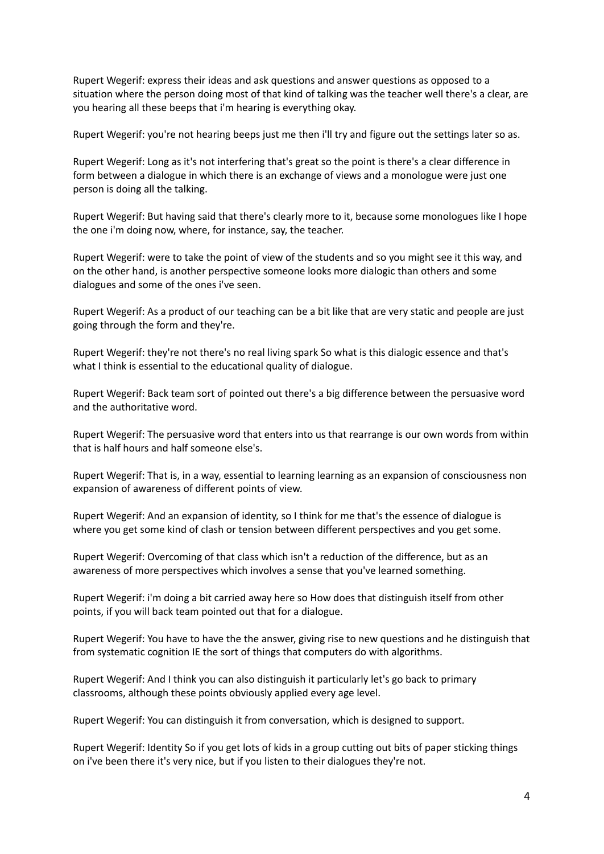Rupert Wegerif: express their ideas and ask questions and answer questions as opposed to a situation where the person doing most of that kind of talking was the teacher well there's a clear, are you hearing all these beeps that i'm hearing is everything okay.

Rupert Wegerif: you're not hearing beeps just me then i'll try and figure out the settings later so as.

Rupert Wegerif: Long as it's not interfering that's great so the point is there's a clear difference in form between a dialogue in which there is an exchange of views and a monologue were just one person is doing all the talking.

Rupert Wegerif: But having said that there's clearly more to it, because some monologues like I hope the one i'm doing now, where, for instance, say, the teacher.

Rupert Wegerif: were to take the point of view of the students and so you might see it this way, and on the other hand, is another perspective someone looks more dialogic than others and some dialogues and some of the ones i've seen.

Rupert Wegerif: As a product of our teaching can be a bit like that are very static and people are just going through the form and they're.

Rupert Wegerif: they're not there's no real living spark So what is this dialogic essence and that's what I think is essential to the educational quality of dialogue.

Rupert Wegerif: Back team sort of pointed out there's a big difference between the persuasive word and the authoritative word.

Rupert Wegerif: The persuasive word that enters into us that rearrange is our own words from within that is half hours and half someone else's.

Rupert Wegerif: That is, in a way, essential to learning learning as an expansion of consciousness non expansion of awareness of different points of view.

Rupert Wegerif: And an expansion of identity, so I think for me that's the essence of dialogue is where you get some kind of clash or tension between different perspectives and you get some.

Rupert Wegerif: Overcoming of that class which isn't a reduction of the difference, but as an awareness of more perspectives which involves a sense that you've learned something.

Rupert Wegerif: i'm doing a bit carried away here so How does that distinguish itself from other points, if you will back team pointed out that for a dialogue.

Rupert Wegerif: You have to have the the answer, giving rise to new questions and he distinguish that from systematic cognition IE the sort of things that computers do with algorithms.

Rupert Wegerif: And I think you can also distinguish it particularly let's go back to primary classrooms, although these points obviously applied every age level.

Rupert Wegerif: You can distinguish it from conversation, which is designed to support.

Rupert Wegerif: Identity So if you get lots of kids in a group cutting out bits of paper sticking things on i've been there it's very nice, but if you listen to their dialogues they're not.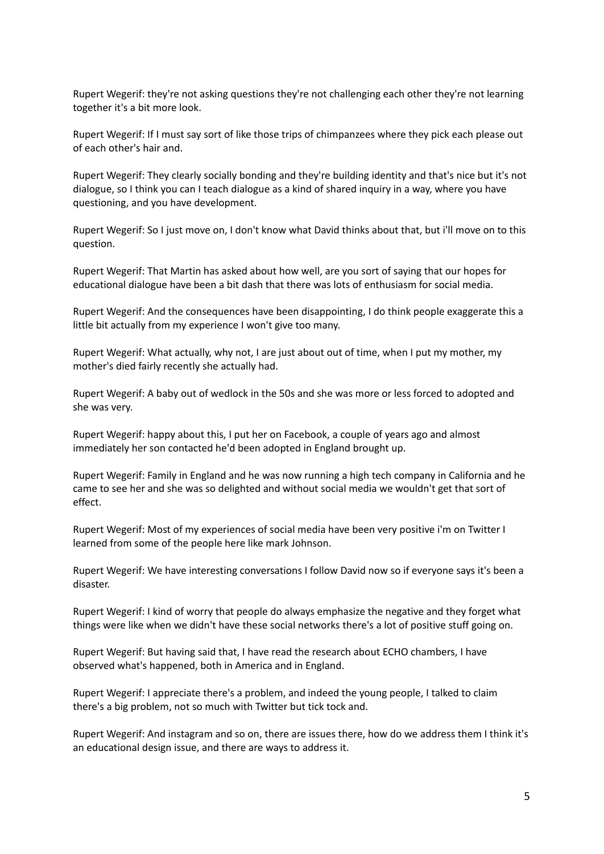Rupert Wegerif: they're not asking questions they're not challenging each other they're not learning together it's a bit more look.

Rupert Wegerif: If I must say sort of like those trips of chimpanzees where they pick each please out of each other's hair and.

Rupert Wegerif: They clearly socially bonding and they're building identity and that's nice but it's not dialogue, so I think you can I teach dialogue as a kind of shared inquiry in a way, where you have questioning, and you have development.

Rupert Wegerif: So I just move on, I don't know what David thinks about that, but i'll move on to this question.

Rupert Wegerif: That Martin has asked about how well, are you sort of saying that our hopes for educational dialogue have been a bit dash that there was lots of enthusiasm for social media.

Rupert Wegerif: And the consequences have been disappointing, I do think people exaggerate this a little bit actually from my experience I won't give too many.

Rupert Wegerif: What actually, why not, I are just about out of time, when I put my mother, my mother's died fairly recently she actually had.

Rupert Wegerif: A baby out of wedlock in the 50s and she was more or less forced to adopted and she was very.

Rupert Wegerif: happy about this, I put her on Facebook, a couple of years ago and almost immediately her son contacted he'd been adopted in England brought up.

Rupert Wegerif: Family in England and he was now running a high tech company in California and he came to see her and she was so delighted and without social media we wouldn't get that sort of effect.

Rupert Wegerif: Most of my experiences of social media have been very positive i'm on Twitter I learned from some of the people here like mark Johnson.

Rupert Wegerif: We have interesting conversations I follow David now so if everyone says it's been a disaster.

Rupert Wegerif: I kind of worry that people do always emphasize the negative and they forget what things were like when we didn't have these social networks there's a lot of positive stuff going on.

Rupert Wegerif: But having said that, I have read the research about ECHO chambers, I have observed what's happened, both in America and in England.

Rupert Wegerif: I appreciate there's a problem, and indeed the young people, I talked to claim there's a big problem, not so much with Twitter but tick tock and.

Rupert Wegerif: And instagram and so on, there are issues there, how do we address them I think it's an educational design issue, and there are ways to address it.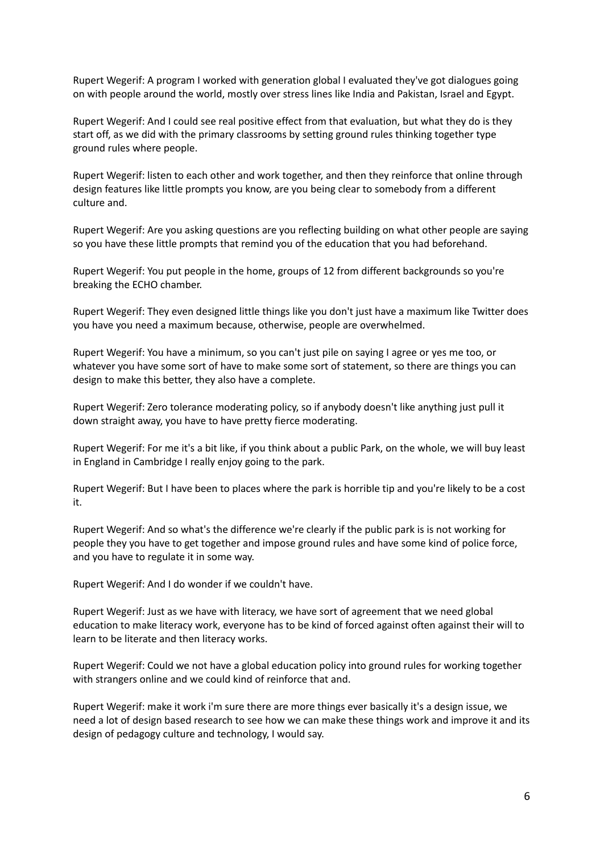Rupert Wegerif: A program I worked with generation global I evaluated they've got dialogues going on with people around the world, mostly over stress lines like India and Pakistan, Israel and Egypt.

Rupert Wegerif: And I could see real positive effect from that evaluation, but what they do is they start off, as we did with the primary classrooms by setting ground rules thinking together type ground rules where people.

Rupert Wegerif: listen to each other and work together, and then they reinforce that online through design features like little prompts you know, are you being clear to somebody from a different culture and.

Rupert Wegerif: Are you asking questions are you reflecting building on what other people are saying so you have these little prompts that remind you of the education that you had beforehand.

Rupert Wegerif: You put people in the home, groups of 12 from different backgrounds so you're breaking the ECHO chamber.

Rupert Wegerif: They even designed little things like you don't just have a maximum like Twitter does you have you need a maximum because, otherwise, people are overwhelmed.

Rupert Wegerif: You have a minimum, so you can't just pile on saying I agree or yes me too, or whatever you have some sort of have to make some sort of statement, so there are things you can design to make this better, they also have a complete.

Rupert Wegerif: Zero tolerance moderating policy, so if anybody doesn't like anything just pull it down straight away, you have to have pretty fierce moderating.

Rupert Wegerif: For me it's a bit like, if you think about a public Park, on the whole, we will buy least in England in Cambridge I really enjoy going to the park.

Rupert Wegerif: But I have been to places where the park is horrible tip and you're likely to be a cost it.

Rupert Wegerif: And so what's the difference we're clearly if the public park is is not working for people they you have to get together and impose ground rules and have some kind of police force, and you have to regulate it in some way.

Rupert Wegerif: And I do wonder if we couldn't have.

Rupert Wegerif: Just as we have with literacy, we have sort of agreement that we need global education to make literacy work, everyone has to be kind of forced against often against their will to learn to be literate and then literacy works.

Rupert Wegerif: Could we not have a global education policy into ground rules for working together with strangers online and we could kind of reinforce that and.

Rupert Wegerif: make it work i'm sure there are more things ever basically it's a design issue, we need a lot of design based research to see how we can make these things work and improve it and its design of pedagogy culture and technology, I would say.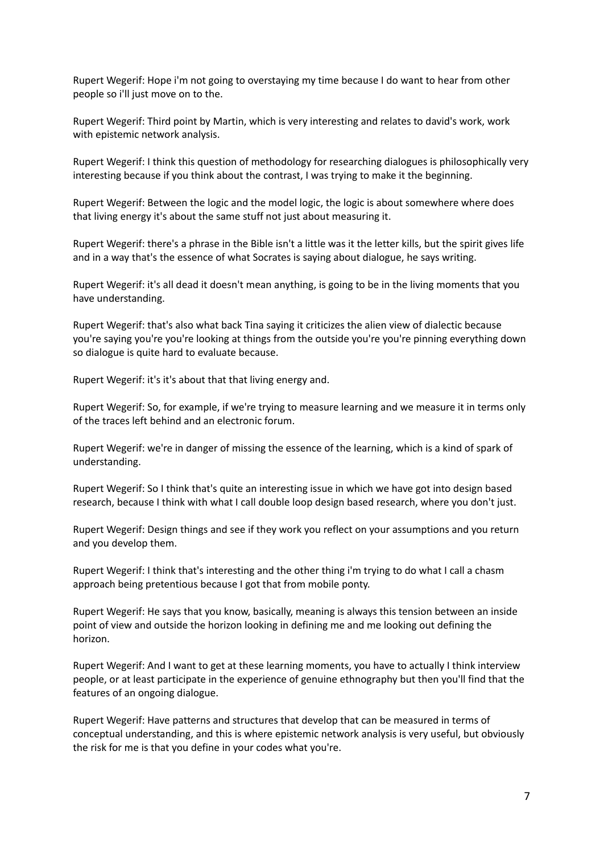Rupert Wegerif: Hope i'm not going to overstaying my time because I do want to hear from other people so i'll just move on to the.

Rupert Wegerif: Third point by Martin, which is very interesting and relates to david's work, work with epistemic network analysis.

Rupert Wegerif: I think this question of methodology for researching dialogues is philosophically very interesting because if you think about the contrast, I was trying to make it the beginning.

Rupert Wegerif: Between the logic and the model logic, the logic is about somewhere where does that living energy it's about the same stuff not just about measuring it.

Rupert Wegerif: there's a phrase in the Bible isn't a little was it the letter kills, but the spirit gives life and in a way that's the essence of what Socrates is saying about dialogue, he says writing.

Rupert Wegerif: it's all dead it doesn't mean anything, is going to be in the living moments that you have understanding.

Rupert Wegerif: that's also what back Tina saying it criticizes the alien view of dialectic because you're saying you're you're looking at things from the outside you're you're pinning everything down so dialogue is quite hard to evaluate because.

Rupert Wegerif: it's it's about that that living energy and.

Rupert Wegerif: So, for example, if we're trying to measure learning and we measure it in terms only of the traces left behind and an electronic forum.

Rupert Wegerif: we're in danger of missing the essence of the learning, which is a kind of spark of understanding.

Rupert Wegerif: So I think that's quite an interesting issue in which we have got into design based research, because I think with what I call double loop design based research, where you don't just.

Rupert Wegerif: Design things and see if they work you reflect on your assumptions and you return and you develop them.

Rupert Wegerif: I think that's interesting and the other thing i'm trying to do what I call a chasm approach being pretentious because I got that from mobile ponty.

Rupert Wegerif: He says that you know, basically, meaning is always this tension between an inside point of view and outside the horizon looking in defining me and me looking out defining the horizon.

Rupert Wegerif: And I want to get at these learning moments, you have to actually I think interview people, or at least participate in the experience of genuine ethnography but then you'll find that the features of an ongoing dialogue.

Rupert Wegerif: Have patterns and structures that develop that can be measured in terms of conceptual understanding, and this is where epistemic network analysis is very useful, but obviously the risk for me is that you define in your codes what you're.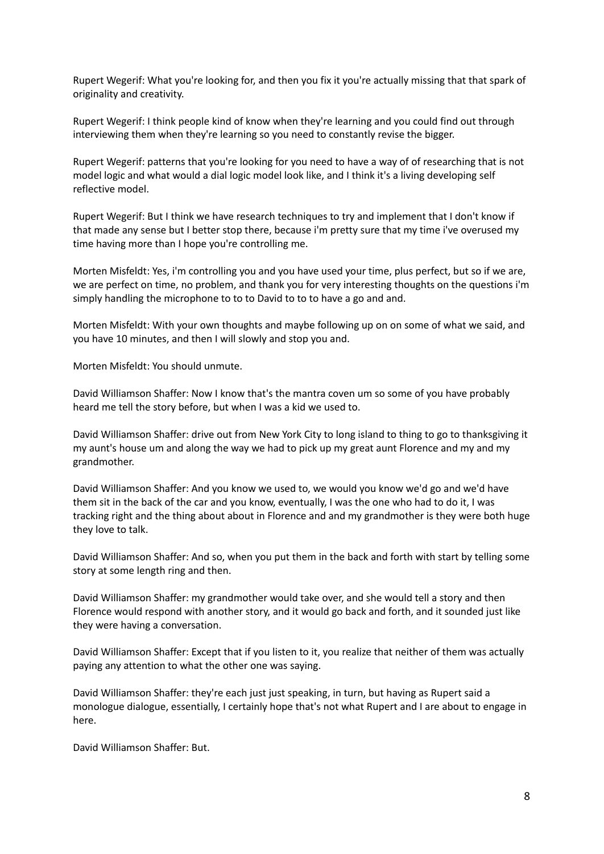Rupert Wegerif: What you're looking for, and then you fix it you're actually missing that that spark of originality and creativity.

Rupert Wegerif: I think people kind of know when they're learning and you could find out through interviewing them when they're learning so you need to constantly revise the bigger.

Rupert Wegerif: patterns that you're looking for you need to have a way of of researching that is not model logic and what would a dial logic model look like, and I think it's a living developing self reflective model.

Rupert Wegerif: But I think we have research techniques to try and implement that I don't know if that made any sense but I better stop there, because i'm pretty sure that my time i've overused my time having more than I hope you're controlling me.

Morten Misfeldt: Yes, i'm controlling you and you have used your time, plus perfect, but so if we are, we are perfect on time, no problem, and thank you for very interesting thoughts on the questions i'm simply handling the microphone to to to David to to to have a go and and.

Morten Misfeldt: With your own thoughts and maybe following up on on some of what we said, and you have 10 minutes, and then I will slowly and stop you and.

Morten Misfeldt: You should unmute.

David Williamson Shaffer: Now I know that's the mantra coven um so some of you have probably heard me tell the story before, but when I was a kid we used to.

David Williamson Shaffer: drive out from New York City to long island to thing to go to thanksgiving it my aunt's house um and along the way we had to pick up my great aunt Florence and my and my grandmother.

David Williamson Shaffer: And you know we used to, we would you know we'd go and we'd have them sit in the back of the car and you know, eventually, I was the one who had to do it, I was tracking right and the thing about about in Florence and and my grandmother is they were both huge they love to talk.

David Williamson Shaffer: And so, when you put them in the back and forth with start by telling some story at some length ring and then.

David Williamson Shaffer: my grandmother would take over, and she would tell a story and then Florence would respond with another story, and it would go back and forth, and it sounded just like they were having a conversation.

David Williamson Shaffer: Except that if you listen to it, you realize that neither of them was actually paying any attention to what the other one was saying.

David Williamson Shaffer: they're each just just speaking, in turn, but having as Rupert said a monologue dialogue, essentially, I certainly hope that's not what Rupert and I are about to engage in here.

David Williamson Shaffer: But.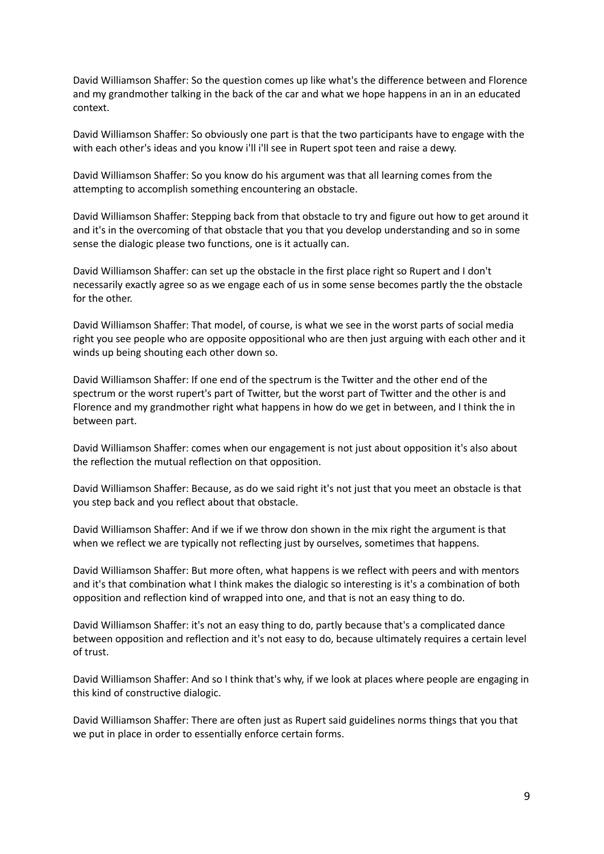David Williamson Shaffer: So the question comes up like what's the difference between and Florence and my grandmother talking in the back of the car and what we hope happens in an in an educated context.

David Williamson Shaffer: So obviously one part is that the two participants have to engage with the with each other's ideas and you know i'll i'll see in Rupert spot teen and raise a dewy.

David Williamson Shaffer: So you know do his argument was that all learning comes from the attempting to accomplish something encountering an obstacle.

David Williamson Shaffer: Stepping back from that obstacle to try and figure out how to get around it and it's in the overcoming of that obstacle that you that you develop understanding and so in some sense the dialogic please two functions, one is it actually can.

David Williamson Shaffer: can set up the obstacle in the first place right so Rupert and I don't necessarily exactly agree so as we engage each of us in some sense becomes partly the the obstacle for the other.

David Williamson Shaffer: That model, of course, is what we see in the worst parts of social media right you see people who are opposite oppositional who are then just arguing with each other and it winds up being shouting each other down so.

David Williamson Shaffer: If one end of the spectrum is the Twitter and the other end of the spectrum or the worst rupert's part of Twitter, but the worst part of Twitter and the other is and Florence and my grandmother right what happens in how do we get in between, and I think the in between part.

David Williamson Shaffer: comes when our engagement is not just about opposition it's also about the reflection the mutual reflection on that opposition.

David Williamson Shaffer: Because, as do we said right it's not just that you meet an obstacle is that you step back and you reflect about that obstacle.

David Williamson Shaffer: And if we if we throw don shown in the mix right the argument is that when we reflect we are typically not reflecting just by ourselves, sometimes that happens.

David Williamson Shaffer: But more often, what happens is we reflect with peers and with mentors and it's that combination what I think makes the dialogic so interesting is it's a combination of both opposition and reflection kind of wrapped into one, and that is not an easy thing to do.

David Williamson Shaffer: it's not an easy thing to do, partly because that's a complicated dance between opposition and reflection and it's not easy to do, because ultimately requires a certain level of trust.

David Williamson Shaffer: And so I think that's why, if we look at places where people are engaging in this kind of constructive dialogic.

David Williamson Shaffer: There are often just as Rupert said guidelines norms things that you that we put in place in order to essentially enforce certain forms.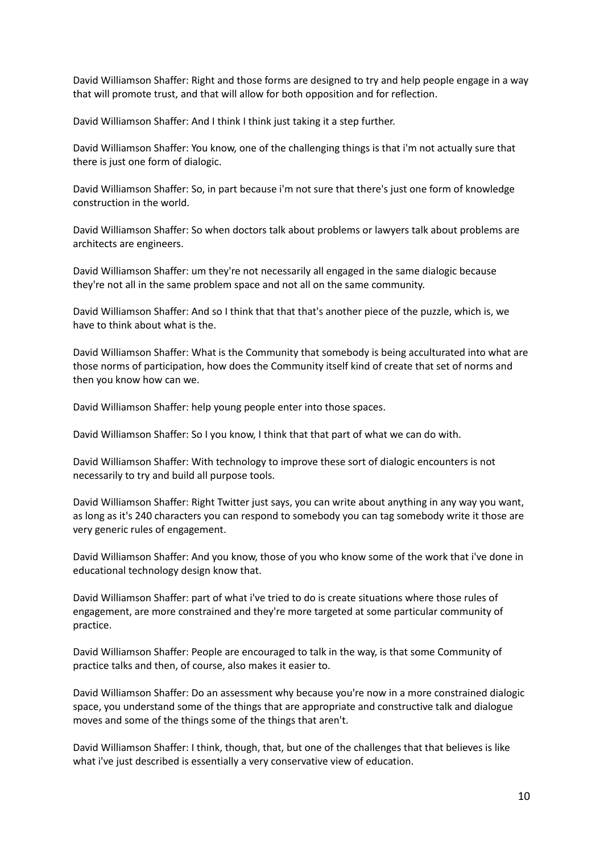David Williamson Shaffer: Right and those forms are designed to try and help people engage in a way that will promote trust, and that will allow for both opposition and for reflection.

David Williamson Shaffer: And I think I think just taking it a step further.

David Williamson Shaffer: You know, one of the challenging things is that i'm not actually sure that there is just one form of dialogic.

David Williamson Shaffer: So, in part because i'm not sure that there's just one form of knowledge construction in the world.

David Williamson Shaffer: So when doctors talk about problems or lawyers talk about problems are architects are engineers.

David Williamson Shaffer: um they're not necessarily all engaged in the same dialogic because they're not all in the same problem space and not all on the same community.

David Williamson Shaffer: And so I think that that that's another piece of the puzzle, which is, we have to think about what is the.

David Williamson Shaffer: What is the Community that somebody is being acculturated into what are those norms of participation, how does the Community itself kind of create that set of norms and then you know how can we.

David Williamson Shaffer: help young people enter into those spaces.

David Williamson Shaffer: So I you know, I think that that part of what we can do with.

David Williamson Shaffer: With technology to improve these sort of dialogic encounters is not necessarily to try and build all purpose tools.

David Williamson Shaffer: Right Twitter just says, you can write about anything in any way you want, as long as it's 240 characters you can respond to somebody you can tag somebody write it those are very generic rules of engagement.

David Williamson Shaffer: And you know, those of you who know some of the work that i've done in educational technology design know that.

David Williamson Shaffer: part of what i've tried to do is create situations where those rules of engagement, are more constrained and they're more targeted at some particular community of practice.

David Williamson Shaffer: People are encouraged to talk in the way, is that some Community of practice talks and then, of course, also makes it easier to.

David Williamson Shaffer: Do an assessment why because you're now in a more constrained dialogic space, you understand some of the things that are appropriate and constructive talk and dialogue moves and some of the things some of the things that aren't.

David Williamson Shaffer: I think, though, that, but one of the challenges that that believes is like what i've just described is essentially a very conservative view of education.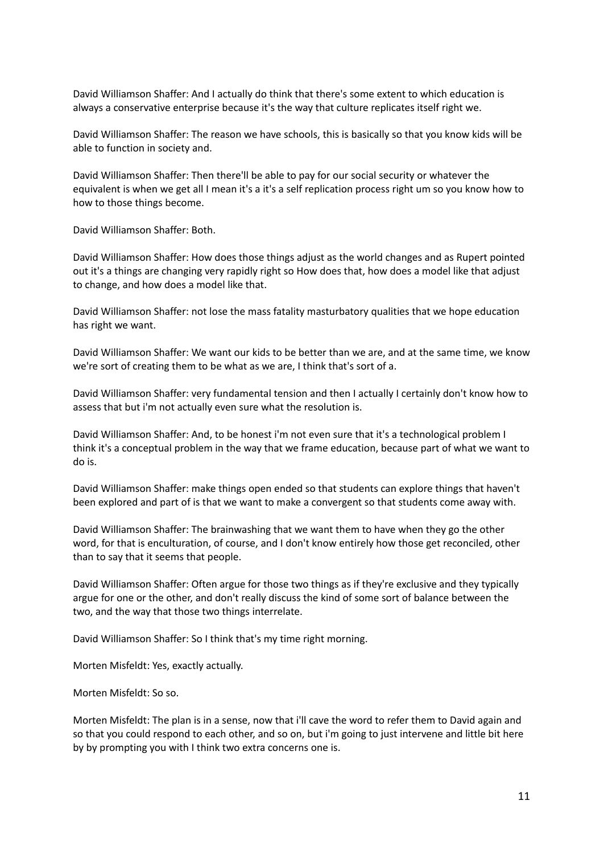David Williamson Shaffer: And I actually do think that there's some extent to which education is always a conservative enterprise because it's the way that culture replicates itself right we.

David Williamson Shaffer: The reason we have schools, this is basically so that you know kids will be able to function in society and.

David Williamson Shaffer: Then there'll be able to pay for our social security or whatever the equivalent is when we get all I mean it's a it's a self replication process right um so you know how to how to those things become.

David Williamson Shaffer: Both.

David Williamson Shaffer: How does those things adjust as the world changes and as Rupert pointed out it's a things are changing very rapidly right so How does that, how does a model like that adjust to change, and how does a model like that.

David Williamson Shaffer: not lose the mass fatality masturbatory qualities that we hope education has right we want.

David Williamson Shaffer: We want our kids to be better than we are, and at the same time, we know we're sort of creating them to be what as we are, I think that's sort of a.

David Williamson Shaffer: very fundamental tension and then I actually I certainly don't know how to assess that but i'm not actually even sure what the resolution is.

David Williamson Shaffer: And, to be honest i'm not even sure that it's a technological problem I think it's a conceptual problem in the way that we frame education, because part of what we want to do is.

David Williamson Shaffer: make things open ended so that students can explore things that haven't been explored and part of is that we want to make a convergent so that students come away with.

David Williamson Shaffer: The brainwashing that we want them to have when they go the other word, for that is enculturation, of course, and I don't know entirely how those get reconciled, other than to say that it seems that people.

David Williamson Shaffer: Often argue for those two things as if they're exclusive and they typically argue for one or the other, and don't really discuss the kind of some sort of balance between the two, and the way that those two things interrelate.

David Williamson Shaffer: So I think that's my time right morning.

Morten Misfeldt: Yes, exactly actually.

Morten Misfeldt: So so.

Morten Misfeldt: The plan is in a sense, now that i'll cave the word to refer them to David again and so that you could respond to each other, and so on, but i'm going to just intervene and little bit here by by prompting you with I think two extra concerns one is.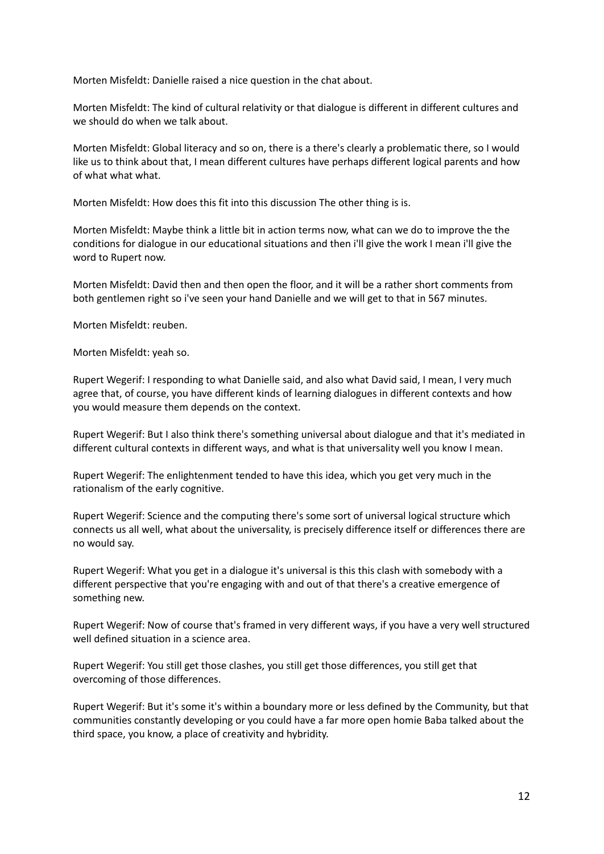Morten Misfeldt: Danielle raised a nice question in the chat about.

Morten Misfeldt: The kind of cultural relativity or that dialogue is different in different cultures and we should do when we talk about.

Morten Misfeldt: Global literacy and so on, there is a there's clearly a problematic there, so I would like us to think about that, I mean different cultures have perhaps different logical parents and how of what what what.

Morten Misfeldt: How does this fit into this discussion The other thing is is.

Morten Misfeldt: Maybe think a little bit in action terms now, what can we do to improve the the conditions for dialogue in our educational situations and then i'll give the work I mean i'll give the word to Rupert now.

Morten Misfeldt: David then and then open the floor, and it will be a rather short comments from both gentlemen right so i've seen your hand Danielle and we will get to that in 567 minutes.

Morten Misfeldt: reuben.

Morten Misfeldt: yeah so.

Rupert Wegerif: I responding to what Danielle said, and also what David said, I mean, I very much agree that, of course, you have different kinds of learning dialogues in different contexts and how you would measure them depends on the context.

Rupert Wegerif: But I also think there's something universal about dialogue and that it's mediated in different cultural contexts in different ways, and what is that universality well you know I mean.

Rupert Wegerif: The enlightenment tended to have this idea, which you get very much in the rationalism of the early cognitive.

Rupert Wegerif: Science and the computing there's some sort of universal logical structure which connects us all well, what about the universality, is precisely difference itself or differences there are no would say.

Rupert Wegerif: What you get in a dialogue it's universal is this this clash with somebody with a different perspective that you're engaging with and out of that there's a creative emergence of something new.

Rupert Wegerif: Now of course that's framed in very different ways, if you have a very well structured well defined situation in a science area.

Rupert Wegerif: You still get those clashes, you still get those differences, you still get that overcoming of those differences.

Rupert Wegerif: But it's some it's within a boundary more or less defined by the Community, but that communities constantly developing or you could have a far more open homie Baba talked about the third space, you know, a place of creativity and hybridity.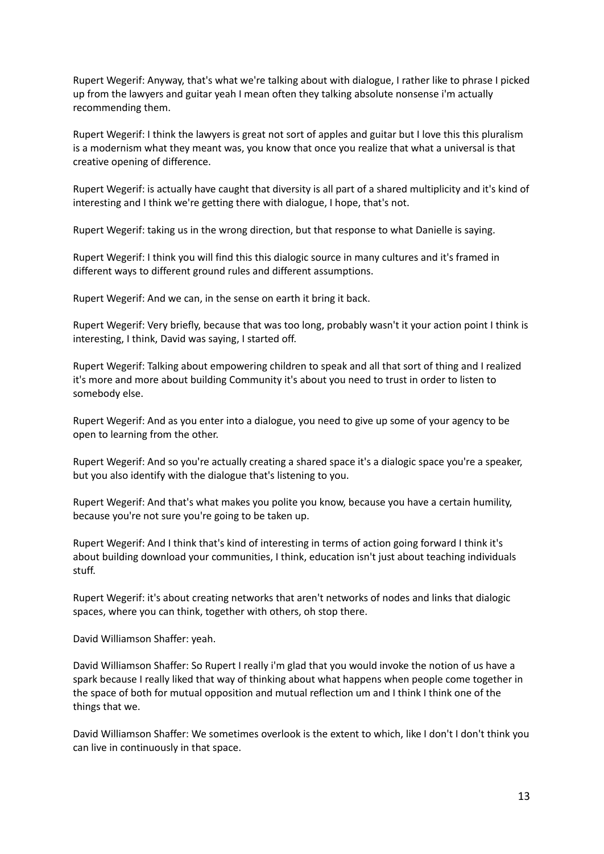Rupert Wegerif: Anyway, that's what we're talking about with dialogue, I rather like to phrase I picked up from the lawyers and guitar yeah I mean often they talking absolute nonsense i'm actually recommending them.

Rupert Wegerif: I think the lawyers is great not sort of apples and guitar but I love this this pluralism is a modernism what they meant was, you know that once you realize that what a universal is that creative opening of difference.

Rupert Wegerif: is actually have caught that diversity is all part of a shared multiplicity and it's kind of interesting and I think we're getting there with dialogue, I hope, that's not.

Rupert Wegerif: taking us in the wrong direction, but that response to what Danielle is saying.

Rupert Wegerif: I think you will find this this dialogic source in many cultures and it's framed in different ways to different ground rules and different assumptions.

Rupert Wegerif: And we can, in the sense on earth it bring it back.

Rupert Wegerif: Very briefly, because that was too long, probably wasn't it your action point I think is interesting, I think, David was saying, I started off.

Rupert Wegerif: Talking about empowering children to speak and all that sort of thing and I realized it's more and more about building Community it's about you need to trust in order to listen to somebody else.

Rupert Wegerif: And as you enter into a dialogue, you need to give up some of your agency to be open to learning from the other.

Rupert Wegerif: And so you're actually creating a shared space it's a dialogic space you're a speaker, but you also identify with the dialogue that's listening to you.

Rupert Wegerif: And that's what makes you polite you know, because you have a certain humility, because you're not sure you're going to be taken up.

Rupert Wegerif: And I think that's kind of interesting in terms of action going forward I think it's about building download your communities, I think, education isn't just about teaching individuals stuff.

Rupert Wegerif: it's about creating networks that aren't networks of nodes and links that dialogic spaces, where you can think, together with others, oh stop there.

David Williamson Shaffer: yeah.

David Williamson Shaffer: So Rupert I really i'm glad that you would invoke the notion of us have a spark because I really liked that way of thinking about what happens when people come together in the space of both for mutual opposition and mutual reflection um and I think I think one of the things that we.

David Williamson Shaffer: We sometimes overlook is the extent to which, like I don't I don't think you can live in continuously in that space.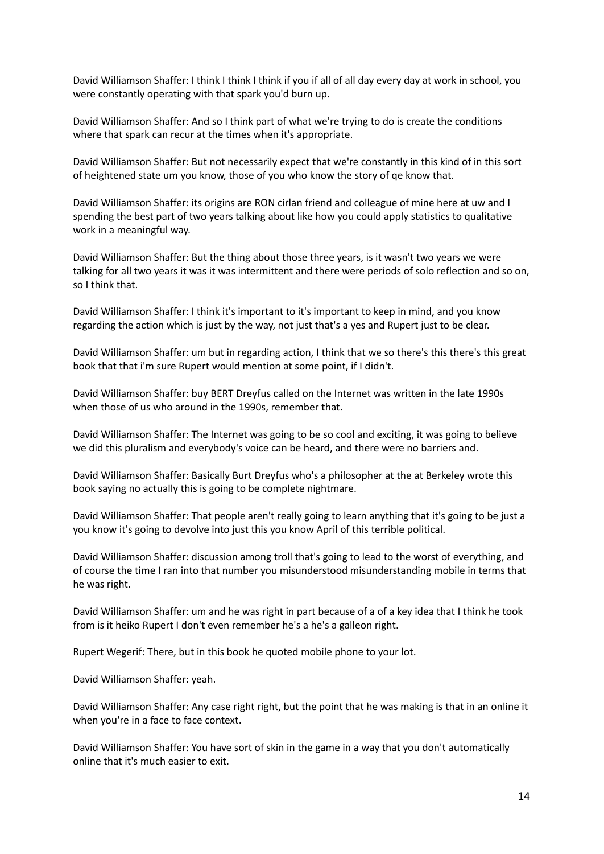David Williamson Shaffer: I think I think I think if you if all of all day every day at work in school, you were constantly operating with that spark you'd burn up.

David Williamson Shaffer: And so I think part of what we're trying to do is create the conditions where that spark can recur at the times when it's appropriate.

David Williamson Shaffer: But not necessarily expect that we're constantly in this kind of in this sort of heightened state um you know, those of you who know the story of qe know that.

David Williamson Shaffer: its origins are RON cirlan friend and colleague of mine here at uw and I spending the best part of two years talking about like how you could apply statistics to qualitative work in a meaningful way.

David Williamson Shaffer: But the thing about those three years, is it wasn't two years we were talking for all two years it was it was intermittent and there were periods of solo reflection and so on, so I think that.

David Williamson Shaffer: I think it's important to it's important to keep in mind, and you know regarding the action which is just by the way, not just that's a yes and Rupert just to be clear.

David Williamson Shaffer: um but in regarding action, I think that we so there's this there's this great book that that i'm sure Rupert would mention at some point, if I didn't.

David Williamson Shaffer: buy BERT Dreyfus called on the Internet was written in the late 1990s when those of us who around in the 1990s, remember that.

David Williamson Shaffer: The Internet was going to be so cool and exciting, it was going to believe we did this pluralism and everybody's voice can be heard, and there were no barriers and.

David Williamson Shaffer: Basically Burt Dreyfus who's a philosopher at the at Berkeley wrote this book saying no actually this is going to be complete nightmare.

David Williamson Shaffer: That people aren't really going to learn anything that it's going to be just a you know it's going to devolve into just this you know April of this terrible political.

David Williamson Shaffer: discussion among troll that's going to lead to the worst of everything, and of course the time I ran into that number you misunderstood misunderstanding mobile in terms that he was right.

David Williamson Shaffer: um and he was right in part because of a of a key idea that I think he took from is it heiko Rupert I don't even remember he's a he's a galleon right.

Rupert Wegerif: There, but in this book he quoted mobile phone to your lot.

David Williamson Shaffer: yeah.

David Williamson Shaffer: Any case right right, but the point that he was making is that in an online it when you're in a face to face context.

David Williamson Shaffer: You have sort of skin in the game in a way that you don't automatically online that it's much easier to exit.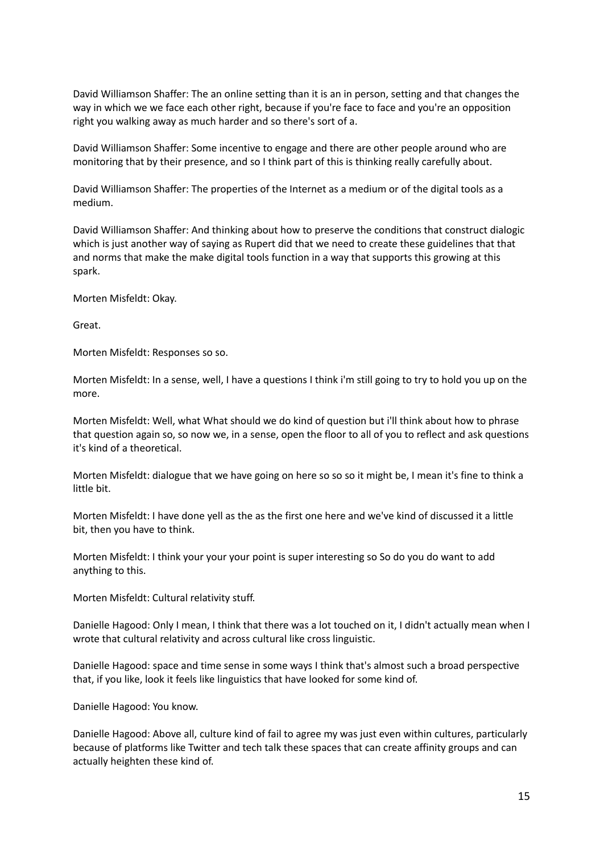David Williamson Shaffer: The an online setting than it is an in person, setting and that changes the way in which we we face each other right, because if you're face to face and you're an opposition right you walking away as much harder and so there's sort of a.

David Williamson Shaffer: Some incentive to engage and there are other people around who are monitoring that by their presence, and so I think part of this is thinking really carefully about.

David Williamson Shaffer: The properties of the Internet as a medium or of the digital tools as a medium.

David Williamson Shaffer: And thinking about how to preserve the conditions that construct dialogic which is just another way of saying as Rupert did that we need to create these guidelines that that and norms that make the make digital tools function in a way that supports this growing at this spark.

Morten Misfeldt: Okay.

Great.

Morten Misfeldt: Responses so so.

Morten Misfeldt: In a sense, well, I have a questions I think i'm still going to try to hold you up on the more.

Morten Misfeldt: Well, what What should we do kind of question but i'll think about how to phrase that question again so, so now we, in a sense, open the floor to all of you to reflect and ask questions it's kind of a theoretical.

Morten Misfeldt: dialogue that we have going on here so so so it might be, I mean it's fine to think a little bit.

Morten Misfeldt: I have done yell as the as the first one here and we've kind of discussed it a little bit, then you have to think.

Morten Misfeldt: I think your your your point is super interesting so So do you do want to add anything to this.

Morten Misfeldt: Cultural relativity stuff.

Danielle Hagood: Only I mean, I think that there was a lot touched on it, I didn't actually mean when I wrote that cultural relativity and across cultural like cross linguistic.

Danielle Hagood: space and time sense in some ways I think that's almost such a broad perspective that, if you like, look it feels like linguistics that have looked for some kind of.

Danielle Hagood: You know.

Danielle Hagood: Above all, culture kind of fail to agree my was just even within cultures, particularly because of platforms like Twitter and tech talk these spaces that can create affinity groups and can actually heighten these kind of.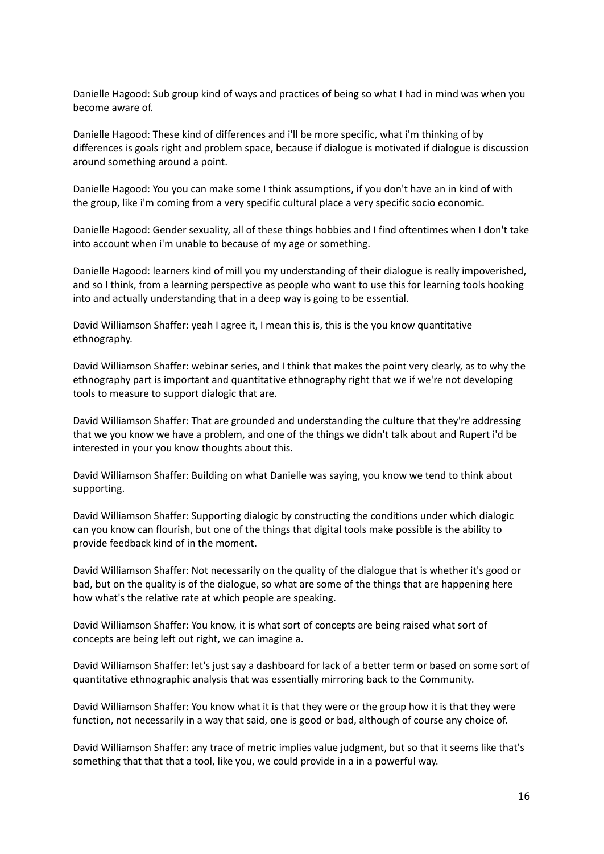Danielle Hagood: Sub group kind of ways and practices of being so what I had in mind was when you become aware of.

Danielle Hagood: These kind of differences and i'll be more specific, what i'm thinking of by differences is goals right and problem space, because if dialogue is motivated if dialogue is discussion around something around a point.

Danielle Hagood: You you can make some I think assumptions, if you don't have an in kind of with the group, like i'm coming from a very specific cultural place a very specific socio economic.

Danielle Hagood: Gender sexuality, all of these things hobbies and I find oftentimes when I don't take into account when i'm unable to because of my age or something.

Danielle Hagood: learners kind of mill you my understanding of their dialogue is really impoverished, and so I think, from a learning perspective as people who want to use this for learning tools hooking into and actually understanding that in a deep way is going to be essential.

David Williamson Shaffer: yeah I agree it, I mean this is, this is the you know quantitative ethnography.

David Williamson Shaffer: webinar series, and I think that makes the point very clearly, as to why the ethnography part is important and quantitative ethnography right that we if we're not developing tools to measure to support dialogic that are.

David Williamson Shaffer: That are grounded and understanding the culture that they're addressing that we you know we have a problem, and one of the things we didn't talk about and Rupert i'd be interested in your you know thoughts about this.

David Williamson Shaffer: Building on what Danielle was saying, you know we tend to think about supporting.

David Williamson Shaffer: Supporting dialogic by constructing the conditions under which dialogic can you know can flourish, but one of the things that digital tools make possible is the ability to provide feedback kind of in the moment.

David Williamson Shaffer: Not necessarily on the quality of the dialogue that is whether it's good or bad, but on the quality is of the dialogue, so what are some of the things that are happening here how what's the relative rate at which people are speaking.

David Williamson Shaffer: You know, it is what sort of concepts are being raised what sort of concepts are being left out right, we can imagine a.

David Williamson Shaffer: let's just say a dashboard for lack of a better term or based on some sort of quantitative ethnographic analysis that was essentially mirroring back to the Community.

David Williamson Shaffer: You know what it is that they were or the group how it is that they were function, not necessarily in a way that said, one is good or bad, although of course any choice of.

David Williamson Shaffer: any trace of metric implies value judgment, but so that it seems like that's something that that that a tool, like you, we could provide in a in a powerful way.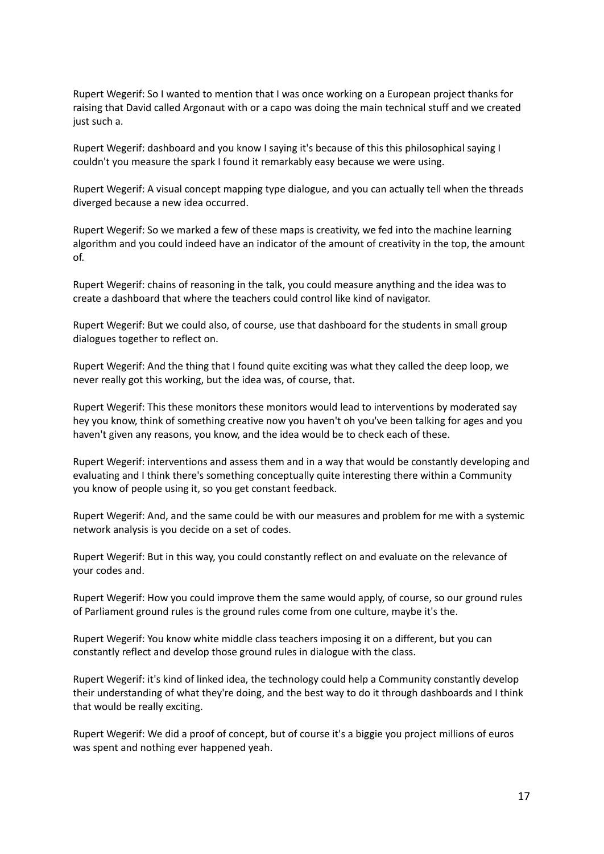Rupert Wegerif: So I wanted to mention that I was once working on a European project thanks for raising that David called Argonaut with or a capo was doing the main technical stuff and we created just such a.

Rupert Wegerif: dashboard and you know I saying it's because of this this philosophical saying I couldn't you measure the spark I found it remarkably easy because we were using.

Rupert Wegerif: A visual concept mapping type dialogue, and you can actually tell when the threads diverged because a new idea occurred.

Rupert Wegerif: So we marked a few of these maps is creativity, we fed into the machine learning algorithm and you could indeed have an indicator of the amount of creativity in the top, the amount of.

Rupert Wegerif: chains of reasoning in the talk, you could measure anything and the idea was to create a dashboard that where the teachers could control like kind of navigator.

Rupert Wegerif: But we could also, of course, use that dashboard for the students in small group dialogues together to reflect on.

Rupert Wegerif: And the thing that I found quite exciting was what they called the deep loop, we never really got this working, but the idea was, of course, that.

Rupert Wegerif: This these monitors these monitors would lead to interventions by moderated say hey you know, think of something creative now you haven't oh you've been talking for ages and you haven't given any reasons, you know, and the idea would be to check each of these.

Rupert Wegerif: interventions and assess them and in a way that would be constantly developing and evaluating and I think there's something conceptually quite interesting there within a Community you know of people using it, so you get constant feedback.

Rupert Wegerif: And, and the same could be with our measures and problem for me with a systemic network analysis is you decide on a set of codes.

Rupert Wegerif: But in this way, you could constantly reflect on and evaluate on the relevance of your codes and.

Rupert Wegerif: How you could improve them the same would apply, of course, so our ground rules of Parliament ground rules is the ground rules come from one culture, maybe it's the.

Rupert Wegerif: You know white middle class teachers imposing it on a different, but you can constantly reflect and develop those ground rules in dialogue with the class.

Rupert Wegerif: it's kind of linked idea, the technology could help a Community constantly develop their understanding of what they're doing, and the best way to do it through dashboards and I think that would be really exciting.

Rupert Wegerif: We did a proof of concept, but of course it's a biggie you project millions of euros was spent and nothing ever happened yeah.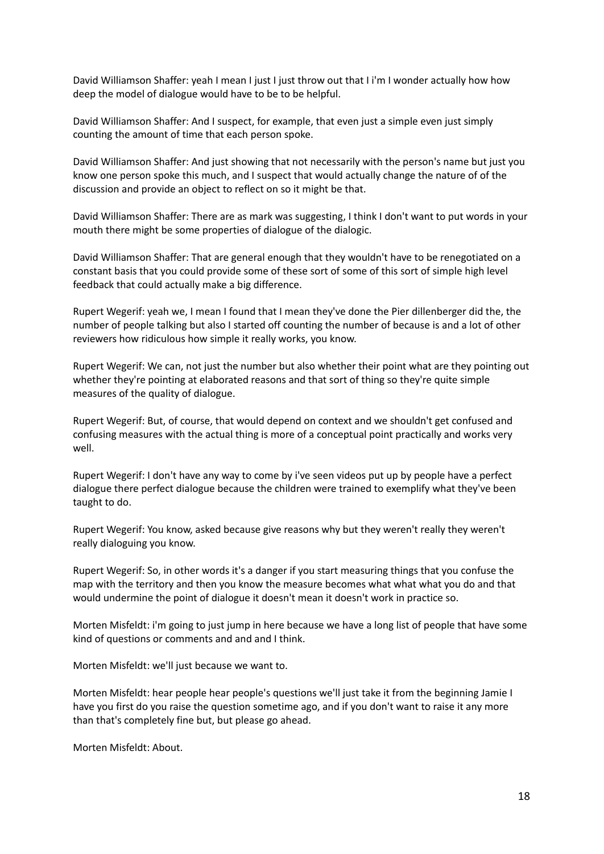David Williamson Shaffer: yeah I mean I just I just throw out that I i'm I wonder actually how how deep the model of dialogue would have to be to be helpful.

David Williamson Shaffer: And I suspect, for example, that even just a simple even just simply counting the amount of time that each person spoke.

David Williamson Shaffer: And just showing that not necessarily with the person's name but just you know one person spoke this much, and I suspect that would actually change the nature of of the discussion and provide an object to reflect on so it might be that.

David Williamson Shaffer: There are as mark was suggesting, I think I don't want to put words in your mouth there might be some properties of dialogue of the dialogic.

David Williamson Shaffer: That are general enough that they wouldn't have to be renegotiated on a constant basis that you could provide some of these sort of some of this sort of simple high level feedback that could actually make a big difference.

Rupert Wegerif: yeah we, I mean I found that I mean they've done the Pier dillenberger did the, the number of people talking but also I started off counting the number of because is and a lot of other reviewers how ridiculous how simple it really works, you know.

Rupert Wegerif: We can, not just the number but also whether their point what are they pointing out whether they're pointing at elaborated reasons and that sort of thing so they're quite simple measures of the quality of dialogue.

Rupert Wegerif: But, of course, that would depend on context and we shouldn't get confused and confusing measures with the actual thing is more of a conceptual point practically and works very well.

Rupert Wegerif: I don't have any way to come by i've seen videos put up by people have a perfect dialogue there perfect dialogue because the children were trained to exemplify what they've been taught to do.

Rupert Wegerif: You know, asked because give reasons why but they weren't really they weren't really dialoguing you know.

Rupert Wegerif: So, in other words it's a danger if you start measuring things that you confuse the map with the territory and then you know the measure becomes what what what you do and that would undermine the point of dialogue it doesn't mean it doesn't work in practice so.

Morten Misfeldt: i'm going to just jump in here because we have a long list of people that have some kind of questions or comments and and and I think.

Morten Misfeldt: we'll just because we want to.

Morten Misfeldt: hear people hear people's questions we'll just take it from the beginning Jamie I have you first do you raise the question sometime ago, and if you don't want to raise it any more than that's completely fine but, but please go ahead.

Morten Misfeldt: About.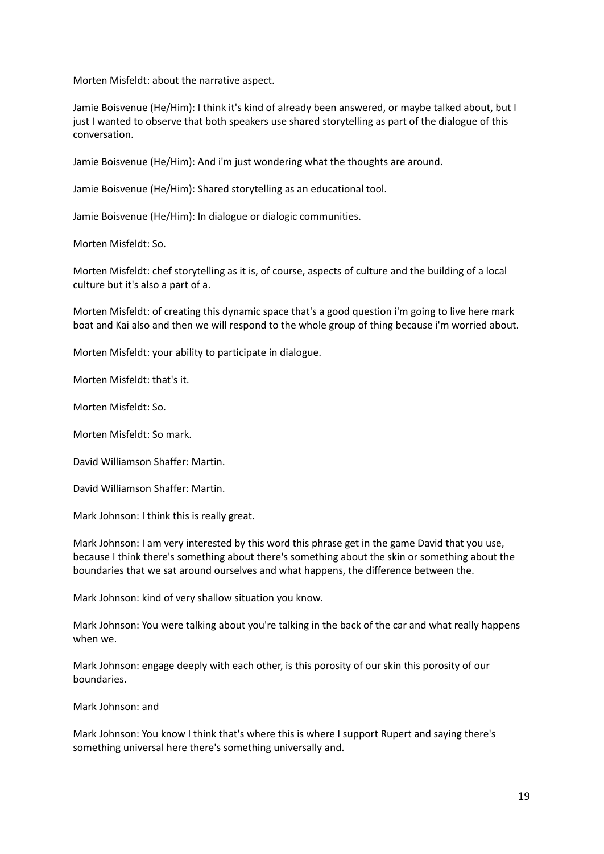Morten Misfeldt: about the narrative aspect.

Jamie Boisvenue (He/Him): I think it's kind of already been answered, or maybe talked about, but I just I wanted to observe that both speakers use shared storytelling as part of the dialogue of this conversation.

Jamie Boisvenue (He/Him): And i'm just wondering what the thoughts are around.

Jamie Boisvenue (He/Him): Shared storytelling as an educational tool.

Jamie Boisvenue (He/Him): In dialogue or dialogic communities.

Morten Misfeldt: So.

Morten Misfeldt: chef storytelling as it is, of course, aspects of culture and the building of a local culture but it's also a part of a.

Morten Misfeldt: of creating this dynamic space that's a good question i'm going to live here mark boat and Kai also and then we will respond to the whole group of thing because i'm worried about.

Morten Misfeldt: your ability to participate in dialogue.

Morten Misfeldt: that's it.

Morten Misfeldt: So.

Morten Misfeldt: So mark.

David Williamson Shaffer: Martin.

David Williamson Shaffer: Martin.

Mark Johnson: I think this is really great.

Mark Johnson: I am very interested by this word this phrase get in the game David that you use, because I think there's something about there's something about the skin or something about the boundaries that we sat around ourselves and what happens, the difference between the.

Mark Johnson: kind of very shallow situation you know.

Mark Johnson: You were talking about you're talking in the back of the car and what really happens when we.

Mark Johnson: engage deeply with each other, is this porosity of our skin this porosity of our boundaries.

Mark Johnson: and

Mark Johnson: You know I think that's where this is where I support Rupert and saying there's something universal here there's something universally and.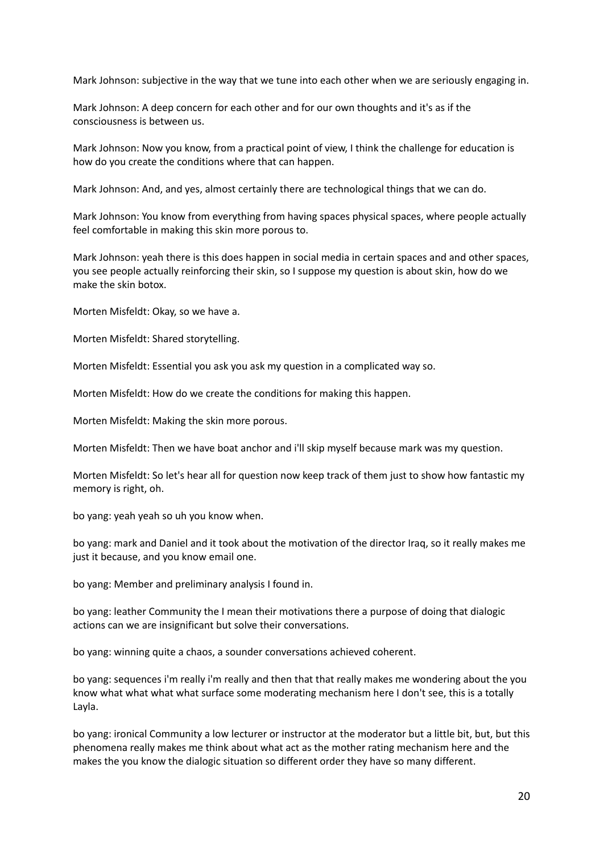Mark Johnson: subjective in the way that we tune into each other when we are seriously engaging in.

Mark Johnson: A deep concern for each other and for our own thoughts and it's as if the consciousness is between us.

Mark Johnson: Now you know, from a practical point of view, I think the challenge for education is how do you create the conditions where that can happen.

Mark Johnson: And, and yes, almost certainly there are technological things that we can do.

Mark Johnson: You know from everything from having spaces physical spaces, where people actually feel comfortable in making this skin more porous to.

Mark Johnson: yeah there is this does happen in social media in certain spaces and and other spaces, you see people actually reinforcing their skin, so I suppose my question is about skin, how do we make the skin botox.

Morten Misfeldt: Okay, so we have a.

Morten Misfeldt: Shared storytelling.

Morten Misfeldt: Essential you ask you ask my question in a complicated way so.

Morten Misfeldt: How do we create the conditions for making this happen.

Morten Misfeldt: Making the skin more porous.

Morten Misfeldt: Then we have boat anchor and i'll skip myself because mark was my question.

Morten Misfeldt: So let's hear all for question now keep track of them just to show how fantastic my memory is right, oh.

bo yang: yeah yeah so uh you know when.

bo yang: mark and Daniel and it took about the motivation of the director Iraq, so it really makes me just it because, and you know email one.

bo yang: Member and preliminary analysis I found in.

bo yang: leather Community the I mean their motivations there a purpose of doing that dialogic actions can we are insignificant but solve their conversations.

bo yang: winning quite a chaos, a sounder conversations achieved coherent.

bo yang: sequences i'm really i'm really and then that that really makes me wondering about the you know what what what what surface some moderating mechanism here I don't see, this is a totally Layla.

bo yang: ironical Community a low lecturer or instructor at the moderator but a little bit, but, but this phenomena really makes me think about what act as the mother rating mechanism here and the makes the you know the dialogic situation so different order they have so many different.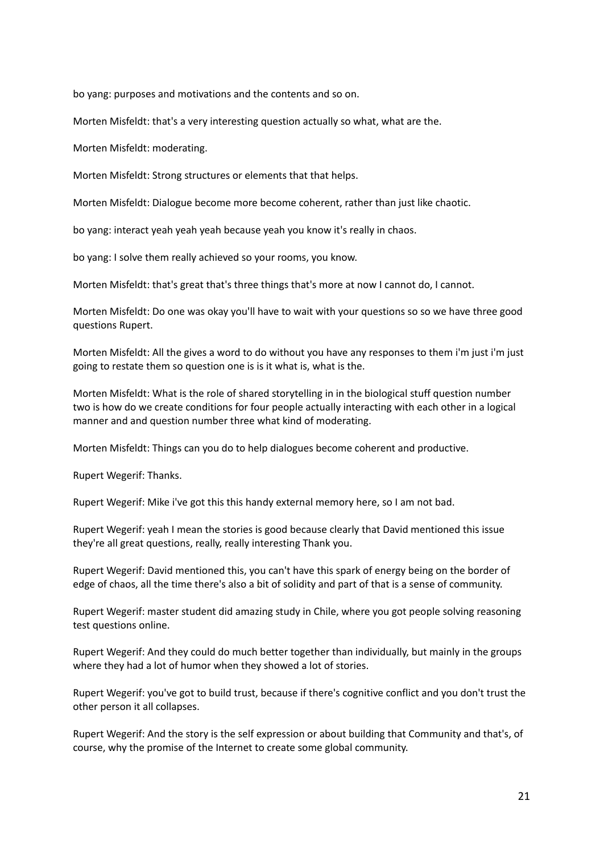bo yang: purposes and motivations and the contents and so on.

Morten Misfeldt: that's a very interesting question actually so what, what are the.

Morten Misfeldt: moderating.

Morten Misfeldt: Strong structures or elements that that helps.

Morten Misfeldt: Dialogue become more become coherent, rather than just like chaotic.

bo yang: interact yeah yeah yeah because yeah you know it's really in chaos.

bo yang: I solve them really achieved so your rooms, you know.

Morten Misfeldt: that's great that's three things that's more at now I cannot do, I cannot.

Morten Misfeldt: Do one was okay you'll have to wait with your questions so so we have three good questions Rupert.

Morten Misfeldt: All the gives a word to do without you have any responses to them i'm just i'm just going to restate them so question one is is it what is, what is the.

Morten Misfeldt: What is the role of shared storytelling in in the biological stuff question number two is how do we create conditions for four people actually interacting with each other in a logical manner and and question number three what kind of moderating.

Morten Misfeldt: Things can you do to help dialogues become coherent and productive.

Rupert Wegerif: Thanks.

Rupert Wegerif: Mike i've got this this handy external memory here, so I am not bad.

Rupert Wegerif: yeah I mean the stories is good because clearly that David mentioned this issue they're all great questions, really, really interesting Thank you.

Rupert Wegerif: David mentioned this, you can't have this spark of energy being on the border of edge of chaos, all the time there's also a bit of solidity and part of that is a sense of community.

Rupert Wegerif: master student did amazing study in Chile, where you got people solving reasoning test questions online.

Rupert Wegerif: And they could do much better together than individually, but mainly in the groups where they had a lot of humor when they showed a lot of stories.

Rupert Wegerif: you've got to build trust, because if there's cognitive conflict and you don't trust the other person it all collapses.

Rupert Wegerif: And the story is the self expression or about building that Community and that's, of course, why the promise of the Internet to create some global community.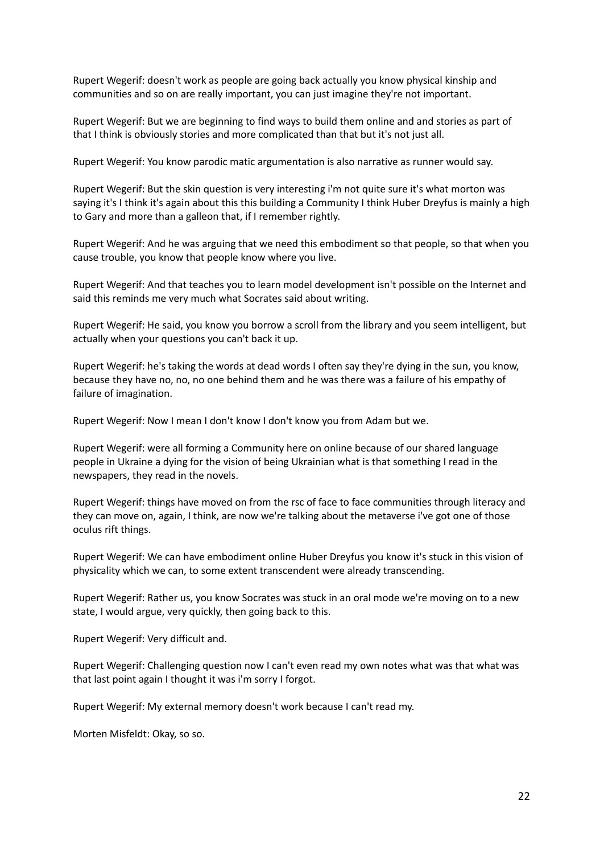Rupert Wegerif: doesn't work as people are going back actually you know physical kinship and communities and so on are really important, you can just imagine they're not important.

Rupert Wegerif: But we are beginning to find ways to build them online and and stories as part of that I think is obviously stories and more complicated than that but it's not just all.

Rupert Wegerif: You know parodic matic argumentation is also narrative as runner would say.

Rupert Wegerif: But the skin question is very interesting i'm not quite sure it's what morton was saying it's I think it's again about this this building a Community I think Huber Dreyfus is mainly a high to Gary and more than a galleon that, if I remember rightly.

Rupert Wegerif: And he was arguing that we need this embodiment so that people, so that when you cause trouble, you know that people know where you live.

Rupert Wegerif: And that teaches you to learn model development isn't possible on the Internet and said this reminds me very much what Socrates said about writing.

Rupert Wegerif: He said, you know you borrow a scroll from the library and you seem intelligent, but actually when your questions you can't back it up.

Rupert Wegerif: he's taking the words at dead words I often say they're dying in the sun, you know, because they have no, no, no one behind them and he was there was a failure of his empathy of failure of imagination.

Rupert Wegerif: Now I mean I don't know I don't know you from Adam but we.

Rupert Wegerif: were all forming a Community here on online because of our shared language people in Ukraine a dying for the vision of being Ukrainian what is that something I read in the newspapers, they read in the novels.

Rupert Wegerif: things have moved on from the rsc of face to face communities through literacy and they can move on, again, I think, are now we're talking about the metaverse i've got one of those oculus rift things.

Rupert Wegerif: We can have embodiment online Huber Dreyfus you know it's stuck in this vision of physicality which we can, to some extent transcendent were already transcending.

Rupert Wegerif: Rather us, you know Socrates was stuck in an oral mode we're moving on to a new state, I would argue, very quickly, then going back to this.

Rupert Wegerif: Very difficult and.

Rupert Wegerif: Challenging question now I can't even read my own notes what was that what was that last point again I thought it was i'm sorry I forgot.

Rupert Wegerif: My external memory doesn't work because I can't read my.

Morten Misfeldt: Okay, so so.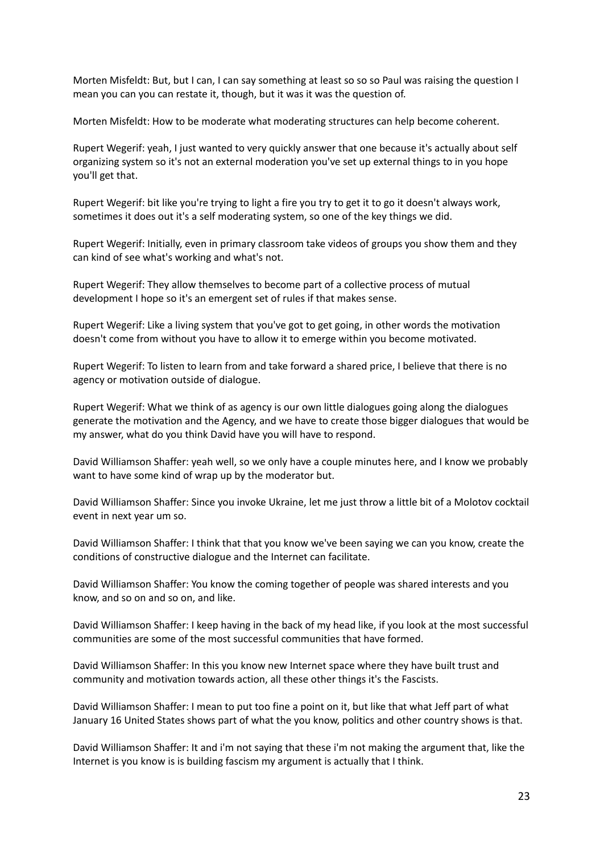Morten Misfeldt: But, but I can, I can say something at least so so so Paul was raising the question I mean you can you can restate it, though, but it was it was the question of.

Morten Misfeldt: How to be moderate what moderating structures can help become coherent.

Rupert Wegerif: yeah, I just wanted to very quickly answer that one because it's actually about self organizing system so it's not an external moderation you've set up external things to in you hope you'll get that.

Rupert Wegerif: bit like you're trying to light a fire you try to get it to go it doesn't always work, sometimes it does out it's a self moderating system, so one of the key things we did.

Rupert Wegerif: Initially, even in primary classroom take videos of groups you show them and they can kind of see what's working and what's not.

Rupert Wegerif: They allow themselves to become part of a collective process of mutual development I hope so it's an emergent set of rules if that makes sense.

Rupert Wegerif: Like a living system that you've got to get going, in other words the motivation doesn't come from without you have to allow it to emerge within you become motivated.

Rupert Wegerif: To listen to learn from and take forward a shared price, I believe that there is no agency or motivation outside of dialogue.

Rupert Wegerif: What we think of as agency is our own little dialogues going along the dialogues generate the motivation and the Agency, and we have to create those bigger dialogues that would be my answer, what do you think David have you will have to respond.

David Williamson Shaffer: yeah well, so we only have a couple minutes here, and I know we probably want to have some kind of wrap up by the moderator but.

David Williamson Shaffer: Since you invoke Ukraine, let me just throw a little bit of a Molotov cocktail event in next year um so.

David Williamson Shaffer: I think that that you know we've been saying we can you know, create the conditions of constructive dialogue and the Internet can facilitate.

David Williamson Shaffer: You know the coming together of people was shared interests and you know, and so on and so on, and like.

David Williamson Shaffer: I keep having in the back of my head like, if you look at the most successful communities are some of the most successful communities that have formed.

David Williamson Shaffer: In this you know new Internet space where they have built trust and community and motivation towards action, all these other things it's the Fascists.

David Williamson Shaffer: I mean to put too fine a point on it, but like that what Jeff part of what January 16 United States shows part of what the you know, politics and other country shows is that.

David Williamson Shaffer: It and i'm not saying that these i'm not making the argument that, like the Internet is you know is is building fascism my argument is actually that I think.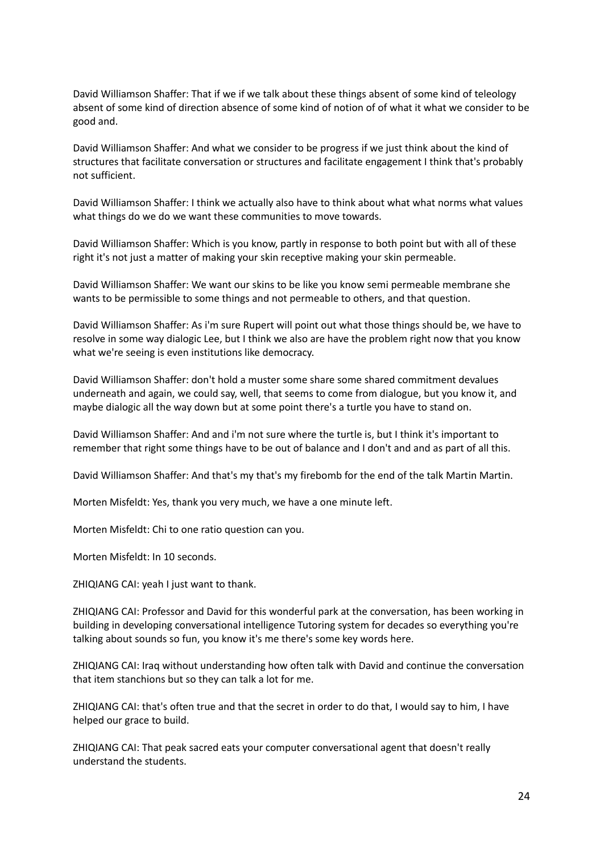David Williamson Shaffer: That if we if we talk about these things absent of some kind of teleology absent of some kind of direction absence of some kind of notion of of what it what we consider to be good and.

David Williamson Shaffer: And what we consider to be progress if we just think about the kind of structures that facilitate conversation or structures and facilitate engagement I think that's probably not sufficient.

David Williamson Shaffer: I think we actually also have to think about what what norms what values what things do we do we want these communities to move towards.

David Williamson Shaffer: Which is you know, partly in response to both point but with all of these right it's not just a matter of making your skin receptive making your skin permeable.

David Williamson Shaffer: We want our skins to be like you know semi permeable membrane she wants to be permissible to some things and not permeable to others, and that question.

David Williamson Shaffer: As i'm sure Rupert will point out what those things should be, we have to resolve in some way dialogic Lee, but I think we also are have the problem right now that you know what we're seeing is even institutions like democracy.

David Williamson Shaffer: don't hold a muster some share some shared commitment devalues underneath and again, we could say, well, that seems to come from dialogue, but you know it, and maybe dialogic all the way down but at some point there's a turtle you have to stand on.

David Williamson Shaffer: And and i'm not sure where the turtle is, but I think it's important to remember that right some things have to be out of balance and I don't and and as part of all this.

David Williamson Shaffer: And that's my that's my firebomb for the end of the talk Martin Martin.

Morten Misfeldt: Yes, thank you very much, we have a one minute left.

Morten Misfeldt: Chi to one ratio question can you.

Morten Misfeldt: In 10 seconds.

ZHIQIANG CAI: yeah I just want to thank.

ZHIQIANG CAI: Professor and David for this wonderful park at the conversation, has been working in building in developing conversational intelligence Tutoring system for decades so everything you're talking about sounds so fun, you know it's me there's some key words here.

ZHIQIANG CAI: Iraq without understanding how often talk with David and continue the conversation that item stanchions but so they can talk a lot for me.

ZHIQIANG CAI: that's often true and that the secret in order to do that, I would say to him, I have helped our grace to build.

ZHIQIANG CAI: That peak sacred eats your computer conversational agent that doesn't really understand the students.